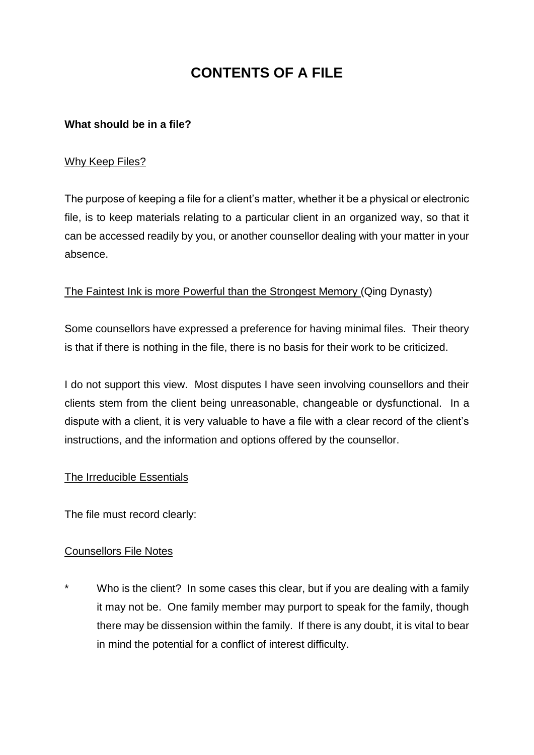# **CONTENTS OF A FILE**

## **What should be in a file?**

#### Why Keep Files?

The purpose of keeping a file for a client's matter, whether it be a physical or electronic file, is to keep materials relating to a particular client in an organized way, so that it can be accessed readily by you, or another counsellor dealing with your matter in your absence.

## The Faintest Ink is more Powerful than the Strongest Memory (Qing Dynasty)

Some counsellors have expressed a preference for having minimal files. Their theory is that if there is nothing in the file, there is no basis for their work to be criticized.

I do not support this view. Most disputes I have seen involving counsellors and their clients stem from the client being unreasonable, changeable or dysfunctional. In a dispute with a client, it is very valuable to have a file with a clear record of the client's instructions, and the information and options offered by the counsellor.

#### The Irreducible Essentials

The file must record clearly:

#### Counsellors File Notes

Who is the client? In some cases this clear, but if you are dealing with a family it may not be. One family member may purport to speak for the family, though there may be dissension within the family. If there is any doubt, it is vital to bear in mind the potential for a conflict of interest difficulty.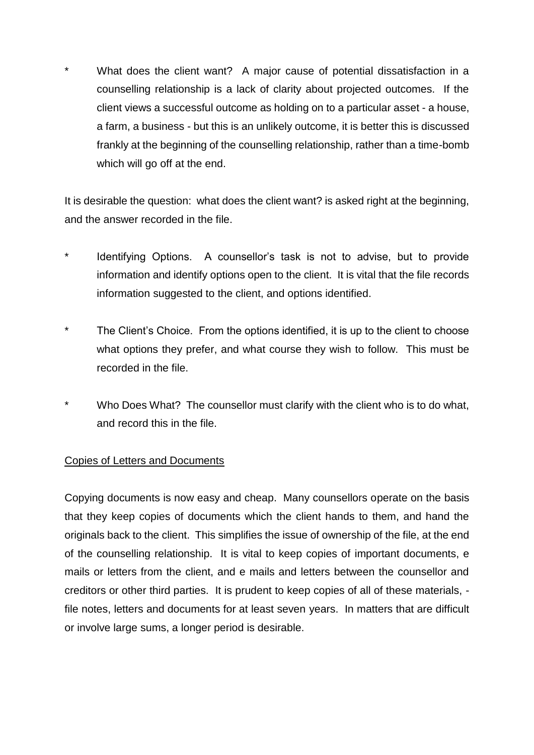\* What does the client want? A major cause of potential dissatisfaction in a counselling relationship is a lack of clarity about projected outcomes. If the client views a successful outcome as holding on to a particular asset - a house, a farm, a business - but this is an unlikely outcome, it is better this is discussed frankly at the beginning of the counselling relationship, rather than a time-bomb which will go off at the end.

It is desirable the question: what does the client want? is asked right at the beginning, and the answer recorded in the file.

- Identifying Options. A counsellor's task is not to advise, but to provide information and identify options open to the client. It is vital that the file records information suggested to the client, and options identified.
- \* The Client's Choice. From the options identified, it is up to the client to choose what options they prefer, and what course they wish to follow. This must be recorded in the file.
- Who Does What? The counsellor must clarify with the client who is to do what, and record this in the file.

# Copies of Letters and Documents

Copying documents is now easy and cheap. Many counsellors operate on the basis that they keep copies of documents which the client hands to them, and hand the originals back to the client. This simplifies the issue of ownership of the file, at the end of the counselling relationship. It is vital to keep copies of important documents, e mails or letters from the client, and e mails and letters between the counsellor and creditors or other third parties. It is prudent to keep copies of all of these materials, file notes, letters and documents for at least seven years. In matters that are difficult or involve large sums, a longer period is desirable.